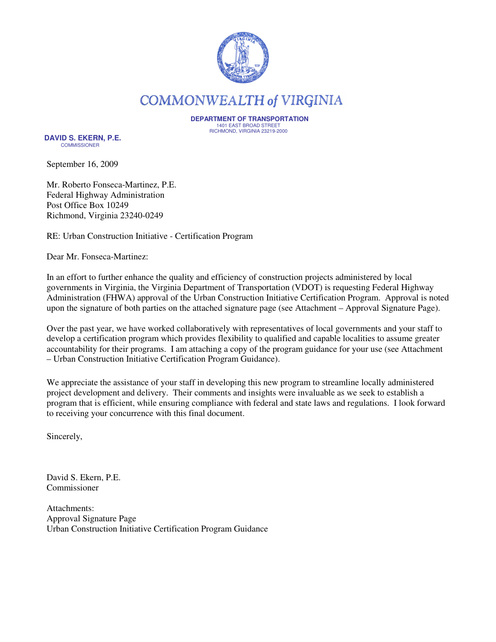

**COMMONWEALTH of VIRGINIA** 

 **DEPARTMENT OF TRANSPORTATION** 1401 EAST BROAD STREET RICHMOND, VIRGINIA 23219-2000

 **DAVID S. EKERN, P.E. COMMISSIONER** 

September 16, 2009

Mr. Roberto Fonseca-Martinez, P.E. Federal Highway Administration Post Office Box 10249 Richmond, Virginia 23240-0249

RE: Urban Construction Initiative - Certification Program

Dear Mr. Fonseca-Martinez:

In an effort to further enhance the quality and efficiency of construction projects administered by local governments in Virginia, the Virginia Department of Transportation (VDOT) is requesting Federal Highway Administration (FHWA) approval of the Urban Construction Initiative Certification Program. Approval is noted upon the signature of both parties on the attached signature page (see Attachment – Approval Signature Page).

Over the past year, we have worked collaboratively with representatives of local governments and your staff to develop a certification program which provides flexibility to qualified and capable localities to assume greater accountability for their programs. I am attaching a copy of the program guidance for your use (see Attachment – Urban Construction Initiative Certification Program Guidance).

We appreciate the assistance of your staff in developing this new program to streamline locally administered project development and delivery. Their comments and insights were invaluable as we seek to establish a program that is efficient, while ensuring compliance with federal and state laws and regulations. I look forward to receiving your concurrence with this final document.

Sincerely,

David S. Ekern, P.E. Commissioner

Attachments: Approval Signature Page Urban Construction Initiative Certification Program Guidance